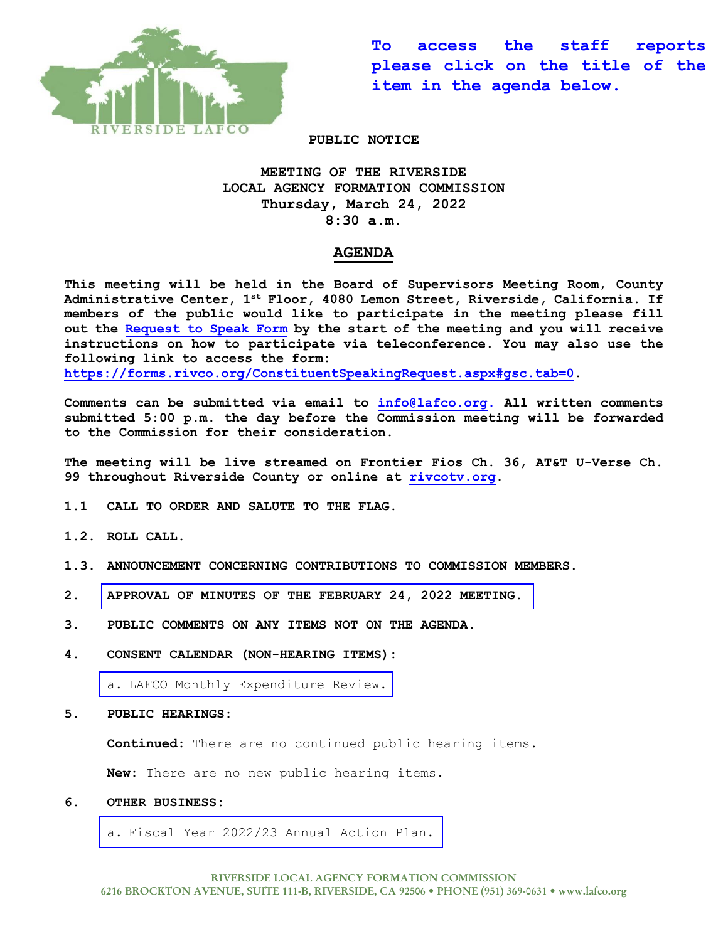

**To access the staff reports please click on the title of the item in the agenda below.** 

**PUBLIC NOTICE**

## **MEETING OF THE RIVERSIDE LOCAL AGENCY FORMATION COMMISSION Thursday, March 24, 2022 8:30 a.m.**

## **AGENDA**

**This meeting will be held in the Board of Supervisors Meeting Room, County Administrative Center, 1st Floor, 4080 Lemon Street, Riverside, California. If members of the public would like to participate in the meeting please fill out the [Request to Speak Form](https://forms.rivco.org/ConstituentSpeakingRequest.aspx#gsc.tab=0) by the start of the meeting and you will receive instructions on how to participate via teleconference. You may also use the following link to access the form: [https://forms.rivco.org/ConstituentSpeakingRequest.aspx#gsc.tab=0.](https://forms.rivco.org/ConstituentSpeakingRequest.aspx#gsc.tab=0)**

**Comments can be submitted via email to [info@lafco.org.](mailto:info@lafco.org) All written comments submitted 5:00 p.m. the day before the Commission meeting will be forwarded to the Commission for their consideration.**

**The meeting will be live streamed on Frontier Fios Ch. 36, AT&T U-Verse Ch. 99 throughout Riverside County or online at [rivcotv.org.](https://rivcotv.org/)** 

- **1.1 CALL TO ORDER AND SALUTE TO THE FLAG.**
- **1.2. ROLL CALL.**
- **1.3. ANNOUNCEMENT CONCERNING CONTRIBUTIONS TO COMMISSION MEMBERS.**
- **2. [APPROVAL OF MINUTES OF THE FEBRUARY 24, 2022](https://lafco.org/wp-content/uploads/documents/march-24-2022-lafco-meeting/2.%20Minutes%20of%202-24-22%20Meeting.pdf) MEETING.**
- **3. PUBLIC COMMENTS ON ANY ITEMS NOT ON THE AGENDA.**
- **4. CONSENT CALENDAR (NON-HEARING ITEMS):**

a. [LAFCO Monthly Expenditure Review.](https://lafco.org/wp-content/uploads/documents/march-24-2022-lafco-meeting/4.a.%20Monthly%20Expenditure%20Report%203-24-22.pdf)

**5. PUBLIC HEARINGS:**

**Continued:** There are no continued public hearing items.

**New:** There are no new public hearing items.

## **6. OTHER BUSINESS:**

a. [Fiscal Year 2022/23 Annual Action Plan.](https://lafco.org/wp-content/uploads/documents/march-24-2022-lafco-meeting/6.a.%20FY%202022-23%20Annual%20Action%20Plan.pdf)